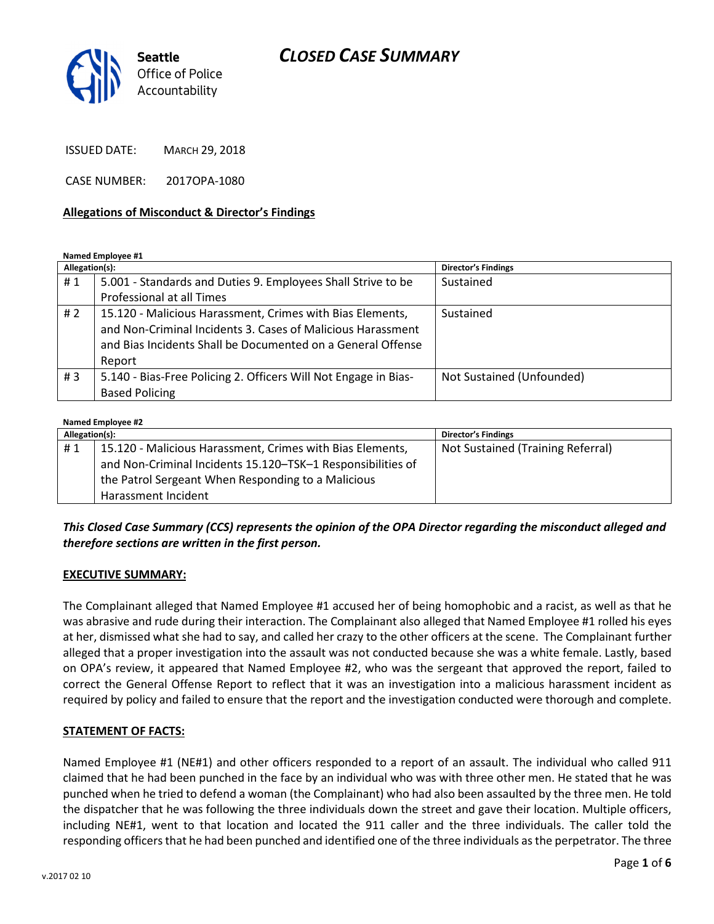## CLOSED CASE SUMMARY



ISSUED DATE: MARCH 29, 2018

CASE NUMBER: 2017OPA-1080

#### Allegations of Misconduct & Director's Findings

Named Employee #1

| Allegation(s): |                                                                 | <b>Director's Findings</b> |
|----------------|-----------------------------------------------------------------|----------------------------|
| #1             | 5.001 - Standards and Duties 9. Employees Shall Strive to be    | Sustained                  |
|                | Professional at all Times                                       |                            |
| #2             | 15.120 - Malicious Harassment, Crimes with Bias Elements,       | Sustained                  |
|                | and Non-Criminal Incidents 3. Cases of Malicious Harassment     |                            |
|                | and Bias Incidents Shall be Documented on a General Offense     |                            |
|                | Report                                                          |                            |
| # $3$          | 5.140 - Bias-Free Policing 2. Officers Will Not Engage in Bias- | Not Sustained (Unfounded)  |
|                | <b>Based Policing</b>                                           |                            |

#### Named Employee #2

| Allegation(s): |                                                             | <b>Director's Findings</b>        |
|----------------|-------------------------------------------------------------|-----------------------------------|
| #1             | 15.120 - Malicious Harassment, Crimes with Bias Elements,   | Not Sustained (Training Referral) |
|                | and Non-Criminal Incidents 15.120-TSK-1 Responsibilities of |                                   |
|                | the Patrol Sergeant When Responding to a Malicious          |                                   |
|                | Harassment Incident                                         |                                   |

### This Closed Case Summary (CCS) represents the opinion of the OPA Director regarding the misconduct alleged and therefore sections are written in the first person.

#### EXECUTIVE SUMMARY:

The Complainant alleged that Named Employee #1 accused her of being homophobic and a racist, as well as that he was abrasive and rude during their interaction. The Complainant also alleged that Named Employee #1 rolled his eyes at her, dismissed what she had to say, and called her crazy to the other officers at the scene. The Complainant further alleged that a proper investigation into the assault was not conducted because she was a white female. Lastly, based on OPA's review, it appeared that Named Employee #2, who was the sergeant that approved the report, failed to correct the General Offense Report to reflect that it was an investigation into a malicious harassment incident as required by policy and failed to ensure that the report and the investigation conducted were thorough and complete.

### STATEMENT OF FACTS:

Named Employee #1 (NE#1) and other officers responded to a report of an assault. The individual who called 911 claimed that he had been punched in the face by an individual who was with three other men. He stated that he was punched when he tried to defend a woman (the Complainant) who had also been assaulted by the three men. He told the dispatcher that he was following the three individuals down the street and gave their location. Multiple officers, including NE#1, went to that location and located the 911 caller and the three individuals. The caller told the responding officers that he had been punched and identified one of the three individuals as the perpetrator. The three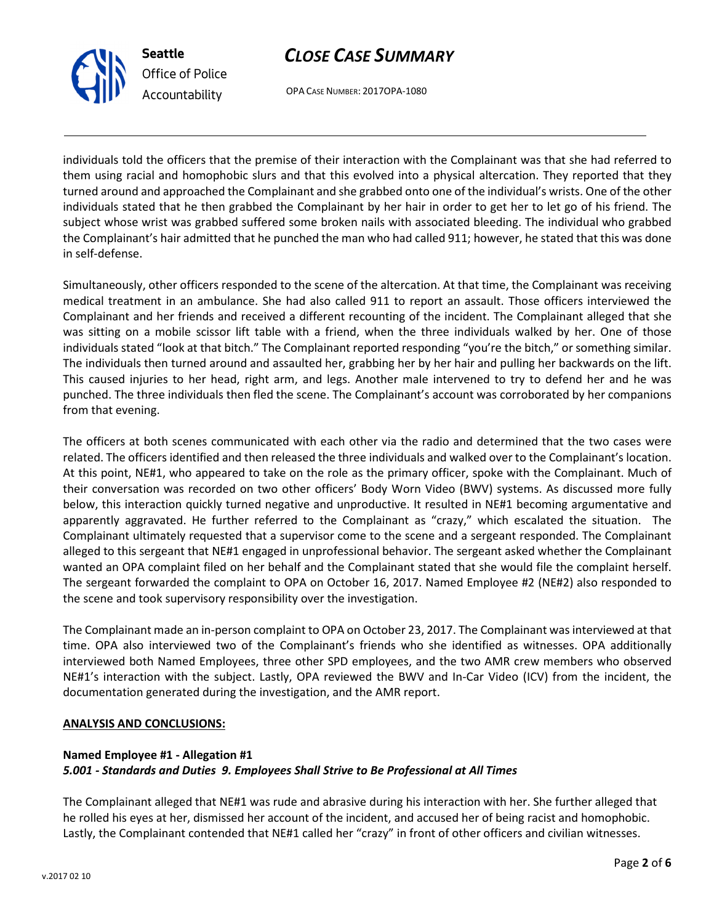



OPA CASE NUMBER: 2017OPA-1080

individuals told the officers that the premise of their interaction with the Complainant was that she had referred to them using racial and homophobic slurs and that this evolved into a physical altercation. They reported that they turned around and approached the Complainant and she grabbed onto one of the individual's wrists. One of the other individuals stated that he then grabbed the Complainant by her hair in order to get her to let go of his friend. The subject whose wrist was grabbed suffered some broken nails with associated bleeding. The individual who grabbed the Complainant's hair admitted that he punched the man who had called 911; however, he stated that this was done in self-defense.

Simultaneously, other officers responded to the scene of the altercation. At that time, the Complainant was receiving medical treatment in an ambulance. She had also called 911 to report an assault. Those officers interviewed the Complainant and her friends and received a different recounting of the incident. The Complainant alleged that she was sitting on a mobile scissor lift table with a friend, when the three individuals walked by her. One of those individuals stated "look at that bitch." The Complainant reported responding "you're the bitch," or something similar. The individuals then turned around and assaulted her, grabbing her by her hair and pulling her backwards on the lift. This caused injuries to her head, right arm, and legs. Another male intervened to try to defend her and he was punched. The three individuals then fled the scene. The Complainant's account was corroborated by her companions from that evening.

The officers at both scenes communicated with each other via the radio and determined that the two cases were related. The officers identified and then released the three individuals and walked over to the Complainant's location. At this point, NE#1, who appeared to take on the role as the primary officer, spoke with the Complainant. Much of their conversation was recorded on two other officers' Body Worn Video (BWV) systems. As discussed more fully below, this interaction quickly turned negative and unproductive. It resulted in NE#1 becoming argumentative and apparently aggravated. He further referred to the Complainant as "crazy," which escalated the situation. The Complainant ultimately requested that a supervisor come to the scene and a sergeant responded. The Complainant alleged to this sergeant that NE#1 engaged in unprofessional behavior. The sergeant asked whether the Complainant wanted an OPA complaint filed on her behalf and the Complainant stated that she would file the complaint herself. The sergeant forwarded the complaint to OPA on October 16, 2017. Named Employee #2 (NE#2) also responded to the scene and took supervisory responsibility over the investigation.

The Complainant made an in-person complaint to OPA on October 23, 2017. The Complainant was interviewed at that time. OPA also interviewed two of the Complainant's friends who she identified as witnesses. OPA additionally interviewed both Named Employees, three other SPD employees, and the two AMR crew members who observed NE#1's interaction with the subject. Lastly, OPA reviewed the BWV and In-Car Video (ICV) from the incident, the documentation generated during the investigation, and the AMR report.

### ANALYSIS AND CONCLUSIONS:

## Named Employee #1 - Allegation #1

## 5.001 - Standards and Duties 9. Employees Shall Strive to Be Professional at All Times

The Complainant alleged that NE#1 was rude and abrasive during his interaction with her. She further alleged that he rolled his eyes at her, dismissed her account of the incident, and accused her of being racist and homophobic. Lastly, the Complainant contended that NE#1 called her "crazy" in front of other officers and civilian witnesses.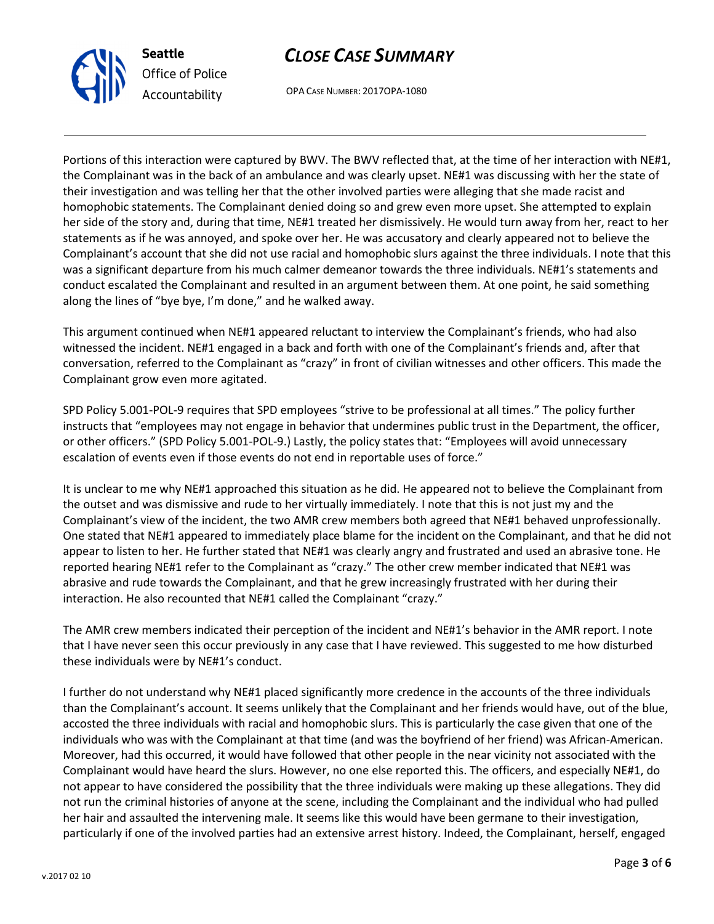



OPA CASE NUMBER: 2017OPA-1080

Portions of this interaction were captured by BWV. The BWV reflected that, at the time of her interaction with NE#1, the Complainant was in the back of an ambulance and was clearly upset. NE#1 was discussing with her the state of their investigation and was telling her that the other involved parties were alleging that she made racist and homophobic statements. The Complainant denied doing so and grew even more upset. She attempted to explain her side of the story and, during that time, NE#1 treated her dismissively. He would turn away from her, react to her statements as if he was annoyed, and spoke over her. He was accusatory and clearly appeared not to believe the Complainant's account that she did not use racial and homophobic slurs against the three individuals. I note that this was a significant departure from his much calmer demeanor towards the three individuals. NE#1's statements and conduct escalated the Complainant and resulted in an argument between them. At one point, he said something along the lines of "bye bye, I'm done," and he walked away.

This argument continued when NE#1 appeared reluctant to interview the Complainant's friends, who had also witnessed the incident. NE#1 engaged in a back and forth with one of the Complainant's friends and, after that conversation, referred to the Complainant as "crazy" in front of civilian witnesses and other officers. This made the Complainant grow even more agitated.

SPD Policy 5.001-POL-9 requires that SPD employees "strive to be professional at all times." The policy further instructs that "employees may not engage in behavior that undermines public trust in the Department, the officer, or other officers." (SPD Policy 5.001-POL-9.) Lastly, the policy states that: "Employees will avoid unnecessary escalation of events even if those events do not end in reportable uses of force."

It is unclear to me why NE#1 approached this situation as he did. He appeared not to believe the Complainant from the outset and was dismissive and rude to her virtually immediately. I note that this is not just my and the Complainant's view of the incident, the two AMR crew members both agreed that NE#1 behaved unprofessionally. One stated that NE#1 appeared to immediately place blame for the incident on the Complainant, and that he did not appear to listen to her. He further stated that NE#1 was clearly angry and frustrated and used an abrasive tone. He reported hearing NE#1 refer to the Complainant as "crazy." The other crew member indicated that NE#1 was abrasive and rude towards the Complainant, and that he grew increasingly frustrated with her during their interaction. He also recounted that NE#1 called the Complainant "crazy."

The AMR crew members indicated their perception of the incident and NE#1's behavior in the AMR report. I note that I have never seen this occur previously in any case that I have reviewed. This suggested to me how disturbed these individuals were by NE#1's conduct.

I further do not understand why NE#1 placed significantly more credence in the accounts of the three individuals than the Complainant's account. It seems unlikely that the Complainant and her friends would have, out of the blue, accosted the three individuals with racial and homophobic slurs. This is particularly the case given that one of the individuals who was with the Complainant at that time (and was the boyfriend of her friend) was African-American. Moreover, had this occurred, it would have followed that other people in the near vicinity not associated with the Complainant would have heard the slurs. However, no one else reported this. The officers, and especially NE#1, do not appear to have considered the possibility that the three individuals were making up these allegations. They did not run the criminal histories of anyone at the scene, including the Complainant and the individual who had pulled her hair and assaulted the intervening male. It seems like this would have been germane to their investigation, particularly if one of the involved parties had an extensive arrest history. Indeed, the Complainant, herself, engaged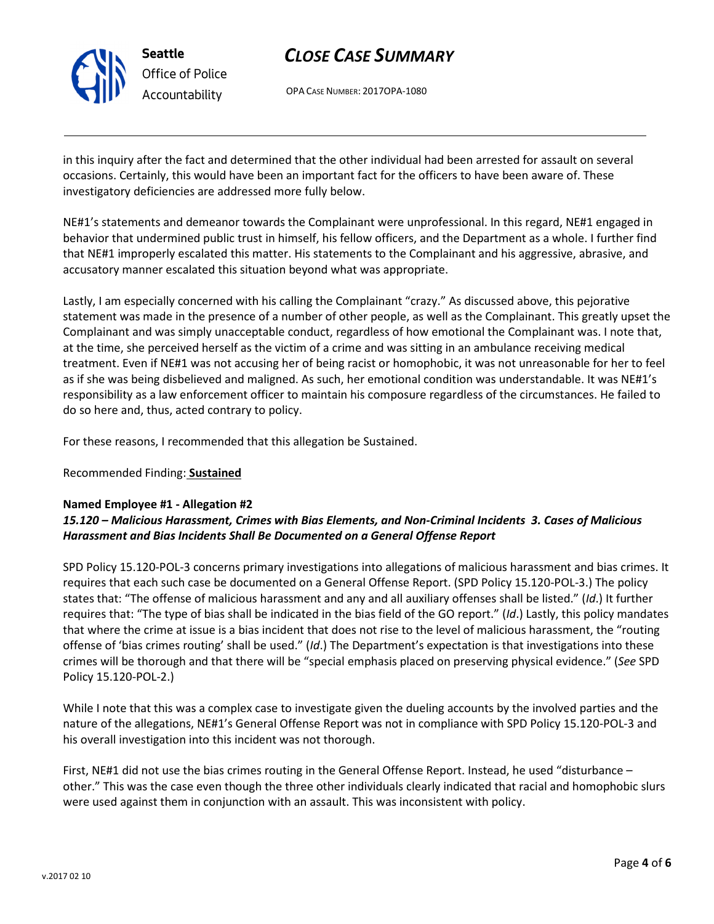

Seattle Office of Police Accountability

# CLOSE CASE SUMMARY

OPA CASE NUMBER: 2017OPA-1080

in this inquiry after the fact and determined that the other individual had been arrested for assault on several occasions. Certainly, this would have been an important fact for the officers to have been aware of. These investigatory deficiencies are addressed more fully below.

NE#1's statements and demeanor towards the Complainant were unprofessional. In this regard, NE#1 engaged in behavior that undermined public trust in himself, his fellow officers, and the Department as a whole. I further find that NE#1 improperly escalated this matter. His statements to the Complainant and his aggressive, abrasive, and accusatory manner escalated this situation beyond what was appropriate.

Lastly, I am especially concerned with his calling the Complainant "crazy." As discussed above, this pejorative statement was made in the presence of a number of other people, as well as the Complainant. This greatly upset the Complainant and was simply unacceptable conduct, regardless of how emotional the Complainant was. I note that, at the time, she perceived herself as the victim of a crime and was sitting in an ambulance receiving medical treatment. Even if NE#1 was not accusing her of being racist or homophobic, it was not unreasonable for her to feel as if she was being disbelieved and maligned. As such, her emotional condition was understandable. It was NE#1's responsibility as a law enforcement officer to maintain his composure regardless of the circumstances. He failed to do so here and, thus, acted contrary to policy.

For these reasons, I recommended that this allegation be Sustained.

## Recommended Finding: Sustained

### Named Employee #1 - Allegation #2

## 15.120 – Malicious Harassment, Crimes with Bias Elements, and Non-Criminal Incidents 3. Cases of Malicious Harassment and Bias Incidents Shall Be Documented on a General Offense Report

SPD Policy 15.120-POL-3 concerns primary investigations into allegations of malicious harassment and bias crimes. It requires that each such case be documented on a General Offense Report. (SPD Policy 15.120-POL-3.) The policy states that: "The offense of malicious harassment and any and all auxiliary offenses shall be listed." (Id.) It further requires that: "The type of bias shall be indicated in the bias field of the GO report." (Id.) Lastly, this policy mandates that where the crime at issue is a bias incident that does not rise to the level of malicious harassment, the "routing offense of 'bias crimes routing' shall be used." (Id.) The Department's expectation is that investigations into these crimes will be thorough and that there will be "special emphasis placed on preserving physical evidence." (See SPD Policy 15.120-POL-2.)

While I note that this was a complex case to investigate given the dueling accounts by the involved parties and the nature of the allegations, NE#1's General Offense Report was not in compliance with SPD Policy 15.120-POL-3 and his overall investigation into this incident was not thorough.

First, NE#1 did not use the bias crimes routing in the General Offense Report. Instead, he used "disturbance – other." This was the case even though the three other individuals clearly indicated that racial and homophobic slurs were used against them in conjunction with an assault. This was inconsistent with policy.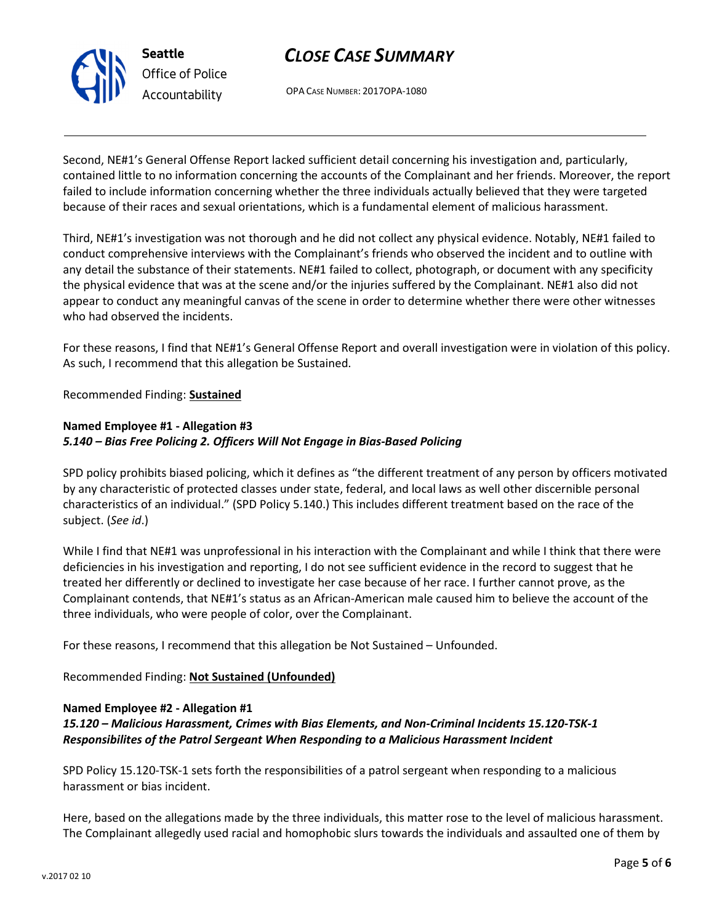

# CLOSE CASE SUMMARY

OPA CASE NUMBER: 2017OPA-1080

Second, NE#1's General Offense Report lacked sufficient detail concerning his investigation and, particularly, contained little to no information concerning the accounts of the Complainant and her friends. Moreover, the report failed to include information concerning whether the three individuals actually believed that they were targeted because of their races and sexual orientations, which is a fundamental element of malicious harassment.

Third, NE#1's investigation was not thorough and he did not collect any physical evidence. Notably, NE#1 failed to conduct comprehensive interviews with the Complainant's friends who observed the incident and to outline with any detail the substance of their statements. NE#1 failed to collect, photograph, or document with any specificity the physical evidence that was at the scene and/or the injuries suffered by the Complainant. NE#1 also did not appear to conduct any meaningful canvas of the scene in order to determine whether there were other witnesses who had observed the incidents.

For these reasons, I find that NE#1's General Offense Report and overall investigation were in violation of this policy. As such, I recommend that this allegation be Sustained.

Recommended Finding: Sustained

## Named Employee #1 - Allegation #3 5.140 – Bias Free Policing 2. Officers Will Not Engage in Bias-Based Policing

SPD policy prohibits biased policing, which it defines as "the different treatment of any person by officers motivated by any characteristic of protected classes under state, federal, and local laws as well other discernible personal characteristics of an individual." (SPD Policy 5.140.) This includes different treatment based on the race of the subject. (See id.)

While I find that NE#1 was unprofessional in his interaction with the Complainant and while I think that there were deficiencies in his investigation and reporting, I do not see sufficient evidence in the record to suggest that he treated her differently or declined to investigate her case because of her race. I further cannot prove, as the Complainant contends, that NE#1's status as an African-American male caused him to believe the account of the three individuals, who were people of color, over the Complainant.

For these reasons, I recommend that this allegation be Not Sustained – Unfounded.

Recommended Finding: Not Sustained (Unfounded)

## Named Employee #2 - Allegation #1

## 15.120 – Malicious Harassment, Crimes with Bias Elements, and Non-Criminal Incidents 15.120-TSK-1 Responsibilites of the Patrol Sergeant When Responding to a Malicious Harassment Incident

SPD Policy 15.120-TSK-1 sets forth the responsibilities of a patrol sergeant when responding to a malicious harassment or bias incident.

Here, based on the allegations made by the three individuals, this matter rose to the level of malicious harassment. The Complainant allegedly used racial and homophobic slurs towards the individuals and assaulted one of them by